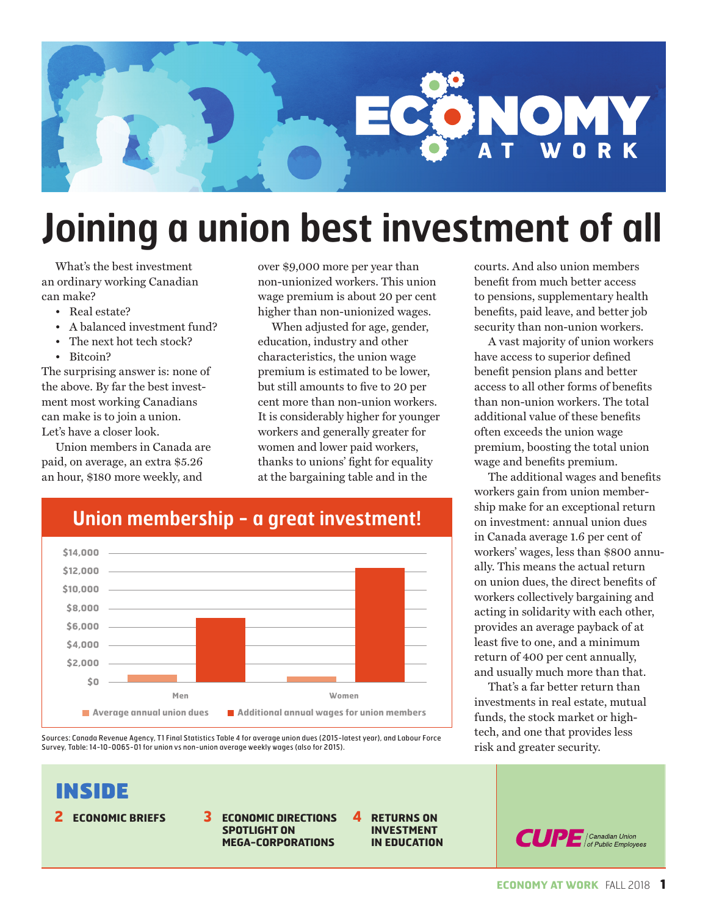

## **Joining a union best investment of all**

What's the best investment an ordinary working Canadian can make?

• Real estate?

INSIDE

- A balanced investment fund?
- The next hot tech stock?
- Bitcoin?

The surprising answer is: none of the above. By far the best investment most working Canadians can make is to join a union. Let's have a closer look.

Union members in Canada are paid, on average, an extra \$5.26 an hour, \$180 more weekly, and

over \$9,000 more per year than non-unionized workers. This union wage premium is about 20 per cent higher than non-unionized wages.

When adjusted for age, gender, education, industry and other characteristics, the union wage premium is estimated to be lower, but still amounts to five to 20 per cent more than non-union workers. It is considerably higher for younger workers and generally greater for women and lower paid workers, thanks to unions' fight for equality at the bargaining table and in the

> **4 RETURNS ON INVESTMENT IN EDUCATION**



Sources: Canada Revenue Agency, T1 Final Statistics Table 4 for average union dues (2015-latest year), and Labour Force Survey, Table: 14-10-0065-01 for union vs non-union average weekly wages (also for 2015).

> **SPOTLIGHT ON MEGA-CORPORATIONS**

**2 ECONOMIC BRIEFS 3 ECONOMIC DIRECTIONS** 



A vast majority of union workers have access to superior defined benefit pension plans and better access to all other forms of benefits than non-union workers. The total additional value of these benefits often exceeds the union wage premium, boosting the total union wage and benefits premium.

The additional wages and benefits workers gain from union membership make for an exceptional return on investment: annual union dues in Canada average 1.6 per cent of workers' wages, less than \$800 annually. This means the actual return on union dues, the direct benefits of workers collectively bargaining and acting in solidarity with each other, provides an average payback of at least five to one, and a minimum return of 400 per cent annually, and usually much more than that.

That's a far better return than investments in real estate, mutual funds, the stock market or hightech, and one that provides less risk and greater security.



### **Union membership - a great investment!**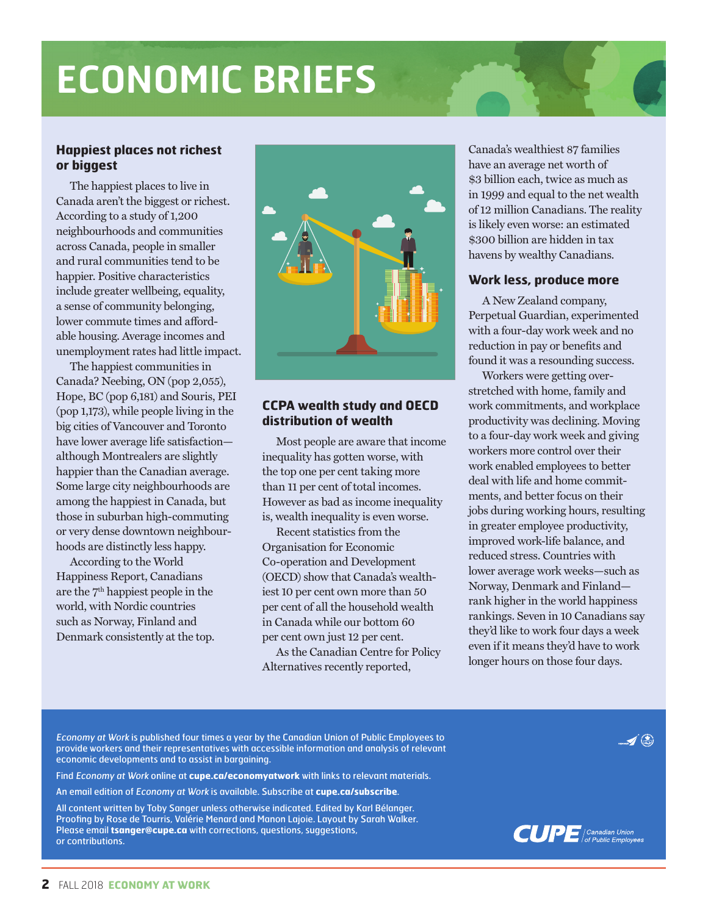## **ECONOMIC BRIEFS**

#### **Happiest places not richest or biggest**

The happiest places to live in Canada aren't the biggest or richest. According to a study of 1,200 neighbourhoods and communities across Canada, people in smaller and rural communities tend to be happier. Positive characteristics include greater wellbeing, equality, a sense of community belonging, lower commute times and affordable housing. Average incomes and unemployment rates had little impact.

The happiest communities in Canada? Neebing, ON (pop 2,055), Hope, BC (pop 6,181) and Souris, PEI (pop 1,173), while people living in the big cities of Vancouver and Toronto have lower average life satisfaction although Montrealers are slightly happier than the Canadian average. Some large city neighbourhoods are among the happiest in Canada, but those in suburban high-commuting or very dense downtown neighbourhoods are distinctly less happy.

According to the World Happiness Report, Canadians are the 7th happiest people in the world, with Nordic countries such as Norway, Finland and Denmark consistently at the top.



#### **CCPA wealth study and OECD distribution of wealth**

Most people are aware that income inequality has gotten worse, with the top one per cent taking more than 11 per cent of total incomes. However as bad as income inequality is, wealth inequality is even worse.

Recent statistics from the Organisation for Economic Co-operation and Development (OECD) show that Canada's wealthiest 10 per cent own more than 50 per cent of all the household wealth in Canada while our bottom 60 per cent own just 12 per cent.

As the Canadian Centre for Policy Alternatives recently reported,

Canada's wealthiest 87 families have an average net worth of \$3 billion each, twice as much as in 1999 and equal to the net wealth of 12 million Canadians. The reality is likely even worse: an estimated \$300 billion are hidden in tax havens by wealthy Canadians.

#### **Work less, produce more**

A New Zealand company, Perpetual Guardian, experimented with a four-day work week and no reduction in pay or benefits and found it was a resounding success.

Workers were getting overstretched with home, family and work commitments, and workplace productivity was declining. Moving to a four-day work week and giving workers more control over their work enabled employees to better deal with life and home commitments, and better focus on their jobs during working hours, resulting in greater employee productivity, improved work-life balance, and reduced stress. Countries with lower average work weeks—such as Norway, Denmark and Finland rank higher in the world happiness rankings. Seven in 10 Canadians say they'd like to work four days a week even if it means they'd have to work longer hours on those four days.

Economy at Work is published four times a year by the Canadian Union of Public Employees to provide workers and their representatives with accessible information and analysis of relevant economic developments and to assist in bargaining.

Find Economy at Work online at **cupe.ca/economyatwork** with links to relevant materials.

An email edition of Economy at Work is available. Subscribe at **cupe.ca/subscribe**.

All content written by Toby Sanger unless otherwise indicated. Edited by Karl Bélanger. Proofing by Rose de Tourris, Valérie Menard and Manon Lajoie. Layout by Sarah Walker. Please email **tsanger@cupe.ca** with corrections, questions, suggestions, or contributions.



 $\blacktriangleleft$  (a)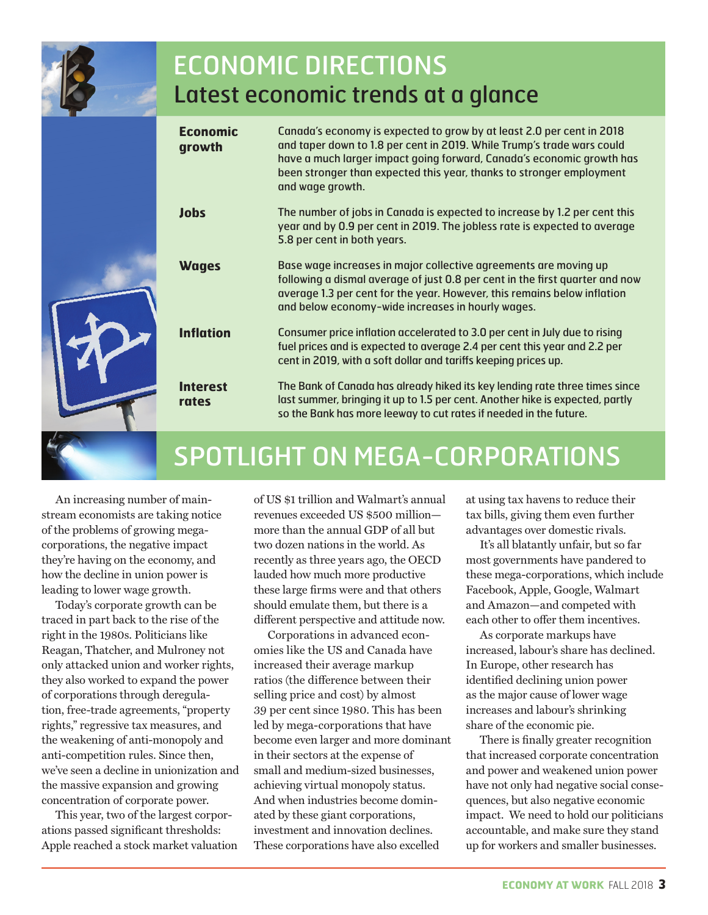

### ECONOMIC DIRECTIONS Latest economic trends at a glance

| <b>Economic</b><br>growth | Canada's economy is expected to grow by at least 2.0 per cent in 2018<br>and taper down to 1.8 per cent in 2019. While Trump's trade wars could<br>have a much larger impact going forward, Canada's economic growth has<br>been stronger than expected this year, thanks to stronger employment<br>and wage growth. |
|---------------------------|----------------------------------------------------------------------------------------------------------------------------------------------------------------------------------------------------------------------------------------------------------------------------------------------------------------------|
| <b>Jobs</b>               | The number of jobs in Canada is expected to increase by 1.2 per cent this<br>year and by 0.9 per cent in 2019. The jobless rate is expected to average<br>5.8 per cent in both years.                                                                                                                                |
| <b>Wages</b>              | Base wage increases in major collective agreements are moving up<br>following a dismal average of just 0.8 per cent in the first quarter and now<br>average 1.3 per cent for the year. However, this remains below inflation<br>and below economy-wide increases in hourly wages.                                    |
| <b>Inflation</b>          | Consumer price inflation accelerated to 3.0 per cent in July due to rising<br>fuel prices and is expected to average 2.4 per cent this year and 2.2 per<br>cent in 2019, with a soft dollar and tariffs keeping prices up.                                                                                           |
| <b>Interest</b><br>rates  | The Bank of Canada has already hiked its key lending rate three times since<br>last summer, bringing it up to 1.5 per cent. Another hike is expected, partly<br>so the Bank has more leeway to cut rates if needed in the future.                                                                                    |
|                           |                                                                                                                                                                                                                                                                                                                      |

## SPOTLIGHT ON MEGA-CORPORATIONS

An increasing number of mainstream economists are taking notice of the problems of growing megacorporations, the negative impact they're having on the economy, and how the decline in union power is leading to lower wage growth.

Today's corporate growth can be traced in part back to the rise of the right in the 1980s. Politicians like Reagan, Thatcher, and Mulroney not only attacked union and worker rights, they also worked to expand the power of corporations through deregulation, free-trade agreements, "property rights," regressive tax measures, and the weakening of anti-monopoly and anti-competition rules. Since then, we've seen a decline in unionization and the massive expansion and growing concentration of corporate power.

This year, two of the largest corporations passed significant thresholds: Apple reached a stock market valuation of US \$1 trillion and Walmart's annual revenues exceeded US \$500 million more than the annual GDP of all but two dozen nations in the world. As recently as three years ago, the OECD lauded how much more productive these large firms were and that others should emulate them, but there is a different perspective and attitude now.

Corporations in advanced economies like the US and Canada have increased their average markup ratios (the difference between their selling price and cost) by almost 39 per cent since 1980. This has been led by mega-corporations that have become even larger and more dominant in their sectors at the expense of small and medium-sized businesses, achieving virtual monopoly status. And when industries become dominated by these giant corporations, investment and innovation declines. These corporations have also excelled

at using tax havens to reduce their tax bills, giving them even further advantages over domestic rivals.

It's all blatantly unfair, but so far most governments have pandered to these mega-corporations, which include Facebook, Apple, Google, Walmart and Amazon—and competed with each other to offer them incentives.

As corporate markups have increased, labour's share has declined. In Europe, other research has identified declining union power as the major cause of lower wage increases and labour's shrinking share of the economic pie.

There is finally greater recognition that increased corporate concentration and power and weakened union power have not only had negative social consequences, but also negative economic impact. We need to hold our politicians accountable, and make sure they stand up for workers and smaller businesses.